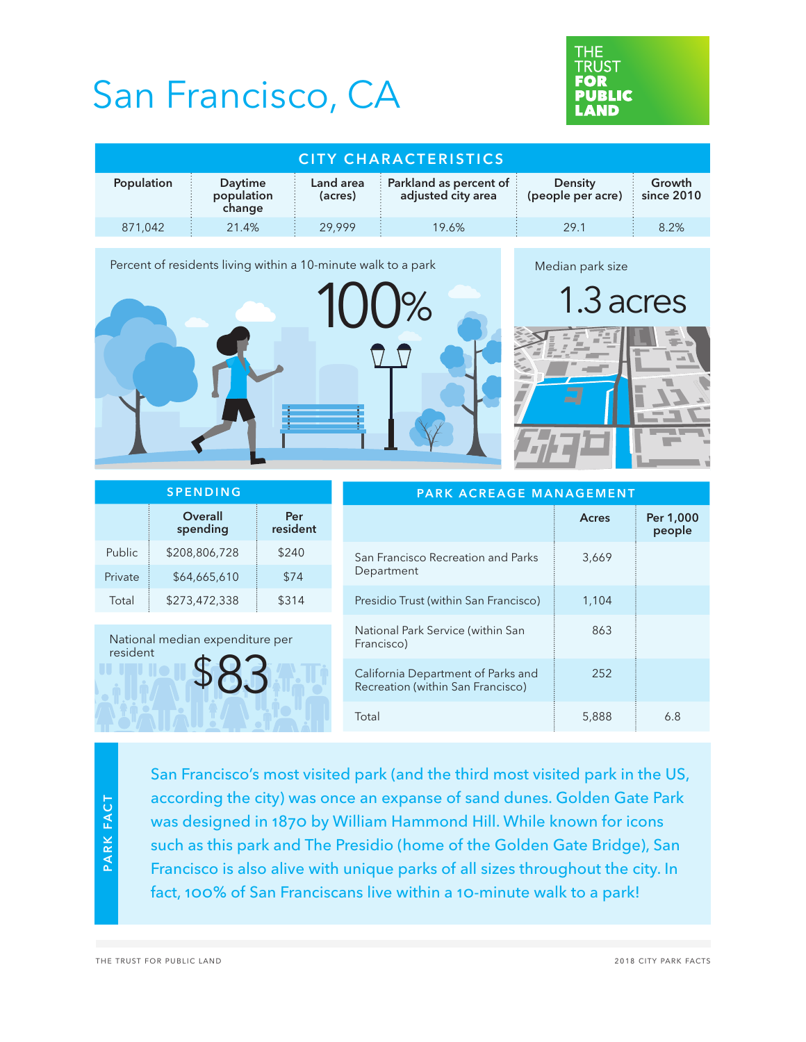## San Francisco, CA



| CITY CHARACTERISTICS |                                 |                      |                                                                                 |                                     |                      |  |  |  |
|----------------------|---------------------------------|----------------------|---------------------------------------------------------------------------------|-------------------------------------|----------------------|--|--|--|
| Population           | Daytime<br>population<br>change | Land area<br>(acres) | <b>Example 3 December 19 Server</b> 1 Dec 2 Berta 2 And 1<br>adjusted city area | <b>Density</b><br>(people per acre) | Growth<br>since 2010 |  |  |  |
| 871.042              | 21.4%                           | 29.999               | 19.6%                                                                           | 29.1                                | 8.2%                 |  |  |  |

Percent of residents living within a 10-minute walk to a park  $\%$ Median park size 1.3 acres

| <b>SPENDING</b>                             |                            |                 | PARK ACREAGE MANAGEMENT                                                 |       |                     |  |
|---------------------------------------------|----------------------------|-----------------|-------------------------------------------------------------------------|-------|---------------------|--|
|                                             | <b>Overall</b><br>spending | Per<br>resident |                                                                         | Acres | Per 1,000<br>people |  |
| Public                                      | \$208,806,728              | \$240           | San Francisco Recreation and Parks                                      | 3,669 |                     |  |
| Private                                     | \$64,665,610               | \$74            | Department                                                              |       |                     |  |
| Total                                       | \$273,472,338              | \$314           | Presidio Trust (within San Francisco)                                   | 1,104 |                     |  |
| National median expenditure per<br>resident |                            |                 | National Park Service (within San<br>Francisco)                         | 863   |                     |  |
|                                             |                            |                 | California Department of Parks and<br>Recreation (within San Francisco) | 252   |                     |  |
|                                             |                            |                 | Total                                                                   | 5,888 | 6.8                 |  |

San Francisco's most visited park (and the third most visited park in the US, according the city) was once an expanse of sand dunes. Golden Gate Park was designed in 1870 by William Hammond Hill. While known for icons such as this park and The Presidio (home of the Golden Gate Bridge), San Francisco is also alive with unique parks of all sizes throughout the city. In fact, 100% of San Franciscans live within a 10-minute walk to a park!

the trust for public land 2018 city park facts

PARK FACT

**PARK FACT**